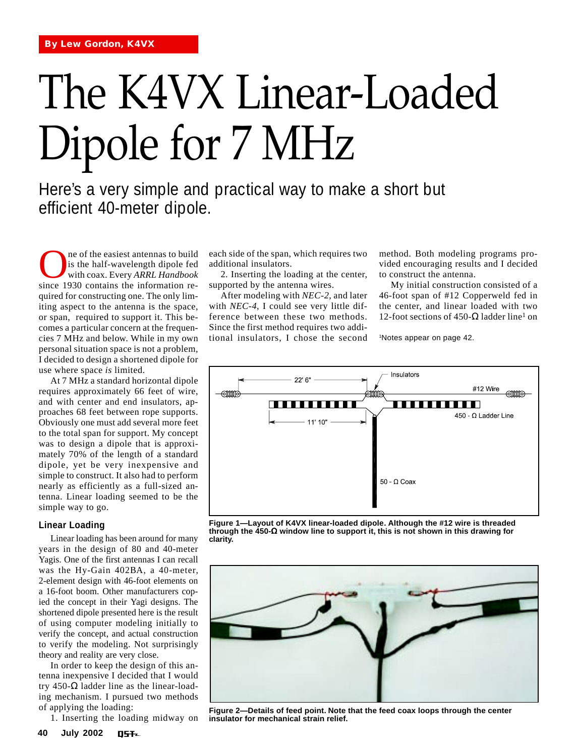# The K4VX Linear-Loaded Dipole for 7 MHz

Here's a very simple and practical way to make a short but efficient 40-meter dipole.

The of the easiest antennas to build<br>is the half-wavelength dipole fed<br>with coax. Every ARRL Handbook<br>since 1930 contains the information reis the half-wavelength dipole fed with coax. Every *ARRL Handbook* since 1930 contains the information required for constructing one. The only limiting aspect to the antenna is the space, or span, required to support it. This becomes a particular concern at the frequencies 7 MHz and below. While in my own personal situation space is not a problem, I decided to design a shortened dipole for use where space *is* limited.

At 7 MHz a standard horizontal dipole requires approximately 66 feet of wire, and with center and end insulators, approaches 68 feet between rope supports. Obviously one must add several more feet to the total span for support. My concept was to design a dipole that is approximately 70% of the length of a standard dipole, yet be very inexpensive and simple to construct. It also had to perform nearly as efficiently as a full-sized antenna. Linear loading seemed to be the simple way to go.

# **Linear Loading**

Linear loading has been around for many years in the design of 80 and 40-meter Yagis. One of the first antennas I can recall was the Hy-Gain 402BA, a 40-meter, 2-element design with 46-foot elements on a 16-foot boom. Other manufacturers copied the concept in their Yagi designs. The shortened dipole presented here is the result of using computer modeling initially to verify the concept, and actual construction to verify the modeling. Not surprisingly theory and reality are very close.

In order to keep the design of this antenna inexpensive I decided that I would try 450- $Ω$  ladder line as the linear-loading mechanism. I pursued two methods of applying the loading:

1. Inserting the loading midway on

each side of the span, which requires two additional insulators.

2. Inserting the loading at the center, supported by the antenna wires.

After modeling with *NEC-2*, and later with *NEC-4*, I could see very little difference between these two methods. Since the first method requires two additional insulators, I chose the second method. Both modeling programs provided encouraging results and I decided to construct the antenna.

My initial construction consisted of a 46-foot span of #12 Copperweld fed in the center, and linear loaded with two 12-foot sections of 450-Ω ladder line<sup>1</sup> on

1Notes appear on page 42.



**Figure 1—Layout of K4VX linear-loaded dipole. Although the #12 wire is threaded through the 450-**Ω **window line to support it, this is not shown in this drawing for clarity.**



**Figure 2—Details of feed point. Note that the feed coax loops through the center insulator for mechanical strain relief.**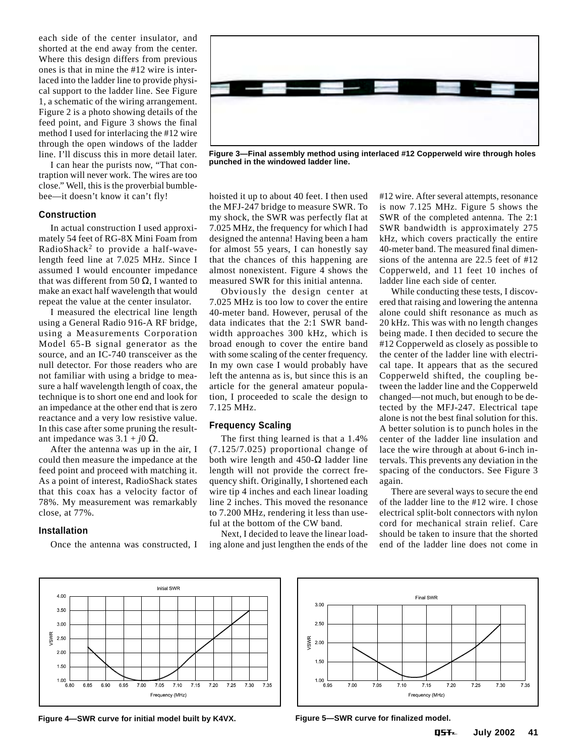each side of the center insulator, and shorted at the end away from the center. Where this design differs from previous ones is that in mine the #12 wire is interlaced into the ladder line to provide physical support to the ladder line. See Figure 1, a schematic of the wiring arrangement. Figure 2 is a photo showing details of the feed point, and Figure 3 shows the final method I used for interlacing the #12 wire through the open windows of the ladder line. I'll discuss this in more detail later.

I can hear the purists now, "That contraption will never work. The wires are too close." Well, this is the proverbial bumblebee—it doesn't know it can't fly!

# **Construction**

In actual construction I used approximately 54 feet of RG-8X Mini Foam from RadioShack2 to provide a half-wavelength feed line at 7.025 MHz. Since I assumed I would encounter impedance that was different from 50  $\Omega$ . I wanted to make an exact half wavelength that would repeat the value at the center insulator.

I measured the electrical line length using a General Radio 916-A RF bridge, using a Measurements Corporation Model 65-B signal generator as the source, and an IC-740 transceiver as the null detector. For those readers who are not familiar with using a bridge to measure a half wavelength length of coax, the technique is to short one end and look for an impedance at the other end that is zero reactance and a very low resistive value. In this case after some pruning the resultant impedance was  $3.1 + j0 Ω$ .

After the antenna was up in the air, I could then measure the impedance at the feed point and proceed with matching it. As a point of interest, RadioShack states that this coax has a velocity factor of 78%. My measurement was remarkably close, at 77%.

# **Installation**

Once the antenna was constructed, I



**Figure 3—Final assembly method using interlaced #12 Copperweld wire through holes punched in the windowed ladder line.**

hoisted it up to about 40 feet. I then used the MFJ-247 bridge to measure SWR. To my shock, the SWR was perfectly flat at 7.025 MHz, the frequency for which I had designed the antenna! Having been a ham for almost 55 years, I can honestly say that the chances of this happening are almost nonexistent. Figure 4 shows the measured SWR for this initial antenna.

Obviously the design center at 7.025 MHz is too low to cover the entire 40-meter band. However, perusal of the data indicates that the 2:1 SWR bandwidth approaches 300 kHz, which is broad enough to cover the entire band with some scaling of the center frequency. In my own case I would probably have left the antenna as is, but since this is an article for the general amateur population, I proceeded to scale the design to 7.125 MHz.

# **Frequency Scaling**

The first thing learned is that a 1.4% (7.125/7.025) proportional change of both wire length and  $450$ -Ω ladder line length will not provide the correct frequency shift. Originally, I shortened each wire tip 4 inches and each linear loading line 2 inches. This moved the resonance to 7.200 MHz, rendering it less than useful at the bottom of the CW band.

Next, I decided to leave the linear loading alone and just lengthen the ends of the #12 wire. After several attempts, resonance is now 7.125 MHz. Figure 5 shows the SWR of the completed antenna. The 2:1 SWR bandwidth is approximately 275 kHz, which covers practically the entire 40-meter band. The measured final dimensions of the antenna are 22.5 feet of #12 Copperweld, and 11 feet 10 inches of ladder line each side of center.

While conducting these tests, I discovered that raising and lowering the antenna alone could shift resonance as much as 20 kHz. This was with no length changes being made. I then decided to secure the #12 Copperweld as closely as possible to the center of the ladder line with electrical tape. It appears that as the secured Copperweld shifted, the coupling between the ladder line and the Copperweld changed—not much, but enough to be detected by the MFJ-247. Electrical tape alone is not the best final solution for this. A better solution is to punch holes in the center of the ladder line insulation and lace the wire through at about 6-inch intervals. This prevents any deviation in the spacing of the conductors. See Figure 3 again.

There are several ways to secure the end of the ladder line to the #12 wire. I chose electrical split-bolt connectors with nylon cord for mechanical strain relief. Care should be taken to insure that the shorted end of the ladder line does not come in



**Figure 4—SWR curve for initial model built by K4VX. Figure 5—SWR curve for finalized model.**